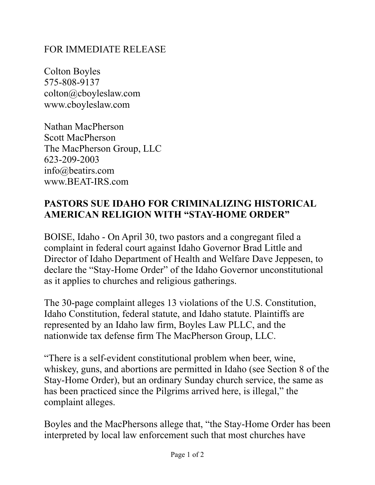## FOR IMMEDIATE RELEASE

Colton Boyles 575-808-9137 colton@cboyleslaw.com www.cboyleslaw.com

Nathan MacPherson Scott MacPherson The MacPherson Group, LLC 623-209-2003 info@beatirs.com www.BEAT-IRS.com

## **PASTORS SUE IDAHO FOR CRIMINALIZING HISTORICAL AMERICAN RELIGION WITH "STAY-HOME ORDER"**

BOISE, Idaho - On April 30, two pastors and a congregant filed a complaint in federal court against Idaho Governor Brad Little and Director of Idaho Department of Health and Welfare Dave Jeppesen, to declare the "Stay-Home Order" of the Idaho Governor unconstitutional as it applies to churches and religious gatherings.

The 30-page complaint alleges 13 violations of the U.S. Constitution, Idaho Constitution, federal statute, and Idaho statute. Plaintiffs are represented by an Idaho law firm, Boyles Law PLLC, and the nationwide tax defense firm The MacPherson Group, LLC.

"There is a self-evident constitutional problem when beer, wine, whiskey, guns, and abortions are permitted in Idaho (see Section 8 of the Stay-Home Order), but an ordinary Sunday church service, the same as has been practiced since the Pilgrims arrived here, is illegal," the complaint alleges.

Boyles and the MacPhersons allege that, "the Stay-Home Order has been interpreted by local law enforcement such that most churches have